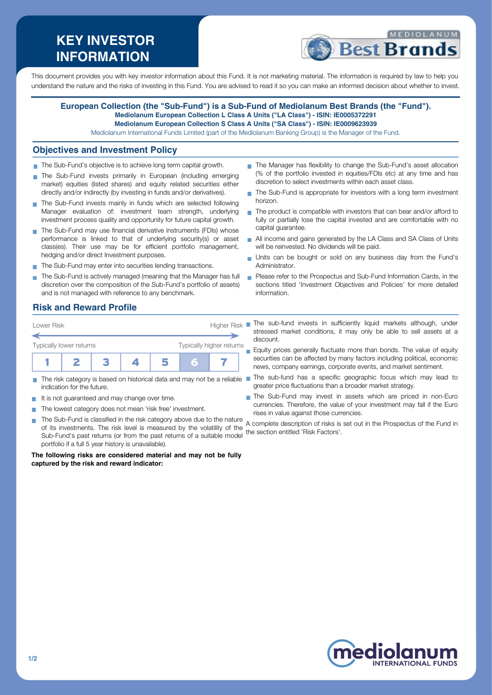# **KEY INVESTOR INFORMATION**



This document provides you with key investor information about this Fund. It is not marketing material. The information is required by law to help you understand the nature and the risks of investing in this Fund. You are advised to read it so you can make an informed decision about whether to invest.

#### **European Collection (the "Sub-Fund") is a Sub-Fund of Mediolanum Best Brands (the "Fund"). Mediolanum European Collection L Class A Units ("LA Class") - ISIN: IE0005372291**

**Mediolanum European Collection S Class A Units ("SA Class") - ISIN: IE0009623939**

Mediolanum International Funds Limited (part of the Mediolanum Banking Group) is the Manager of the Fund.

#### **Objectives and Investment Policy**

- The Sub-Fund's objective is to achieve long term capital growth.
- The Sub-Fund invests primarily in European (including emerging market) equities (listed shares) and equity related securities either directly and/or indirectly (by investing in funds and/or derivatives).
- The Sub-Fund invests mainly in funds which are selected following Manager evaluation of: investment team strength, underlying investment process quality and opportunity for future capital growth.
- The Sub-Fund may use financial derivative instruments (FDIs) whose performance is linked to that of underlying security(s) or asset class(es). Their use may be for efficient portfolio management, hedging and/or direct Investment purposes.
- The Sub-Fund may enter into securities lending transactions.
- The Sub-Fund is actively managed (meaning that the Manager has full discretion over the composition of the Sub-Fund's portfolio of assets) and is not managed with reference to any benchmark.
- The Manager has flexibility to change the Sub-Fund's asset allocation (% of the portfolio invested in equities/FDIs etc) at any time and has discretion to select investments within each asset class.
- The Sub-Fund is appropriate for investors with a long term investment horizon.
- The product is compatible with investors that can bear and/or afford to fully or partially lose the capital invested and are comfortable with no capital guarantee.
- All income and gains generated by the LA Class and SA Class of Units will be reinvested. No dividends will be paid.
- Units can be bought or sold on any business day from the Fund's Administrator.
- **Please refer to the Prospectus and Sub-Fund Information Cards, in the** sections titled 'Investment Objectives and Policies' for more detailed information.

The sub-fund invests in sufficiently liquid markets although, under stressed market conditions, it may only be able to sell assets at a

Equity prices generally fluctuate more than bonds. The value of equity securities can be affected by many factors including political, economic news, company earnings, corporate events, and market sentiment.

The Sub-Fund may invest in assets which are priced in non-Euro currencies. Therefore, the value of your investment may fall if the Euro

greater price fluctuations than a broader market strategy.

# **Risk and Reward Profile**

| Lower Risk              |  | Higher Risk |                          |  |  |
|-------------------------|--|-------------|--------------------------|--|--|
| Typically lower returns |  |             | Typically higher returns |  |  |
|                         |  |             |                          |  |  |

- The risk category is based on historical data and may not be a reliable The sub-fund has a specific geographic focus which may lead to indication for the future.
- It is not guaranteed and may change over time.
- The lowest category does not mean 'risk free' investment.
- The Sub-Fund is classified in the risk category above due to the nature a complete description of risks care currencies. of its investments. The risk level is measured by the volatility of the Sub-Fund's past returns (or from the past returns of a suitable model the section entitled 'Risk Factors'.portfolio if a full 5 year history is unavailable). A complete description of risks is set out in the Prospectus of the Fund in

discount.

**The following risks are considered material and may not be fully captured by the risk and reward indicator:**



**NTERNATIONAL FUNDS**